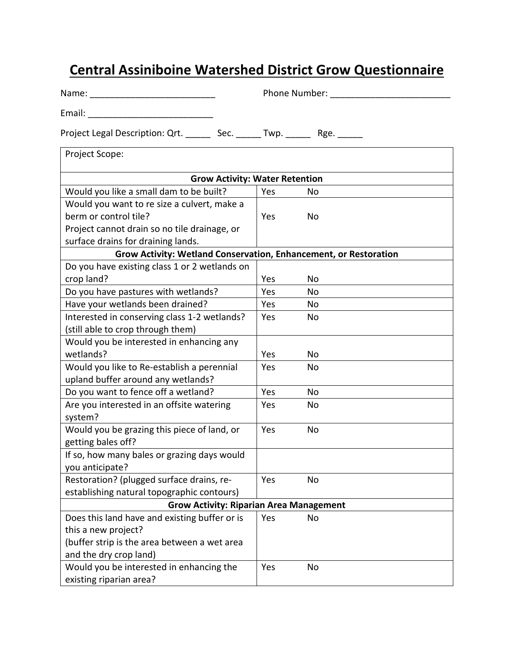## **Central Assiniboine Watershed District Grow Questionnaire**

| Project Legal Description: Qrt. ________ Sec. ______ Twp. _______ Rge. ______ |     |    |  |  |  |
|-------------------------------------------------------------------------------|-----|----|--|--|--|
| Project Scope:                                                                |     |    |  |  |  |
| <b>Grow Activity: Water Retention</b>                                         |     |    |  |  |  |
| Would you like a small dam to be built?                                       | Yes | No |  |  |  |
| Would you want to re size a culvert, make a                                   |     |    |  |  |  |
| berm or control tile?                                                         | Yes | No |  |  |  |
| Project cannot drain so no tile drainage, or                                  |     |    |  |  |  |
| surface drains for draining lands.                                            |     |    |  |  |  |
| Grow Activity: Wetland Conservation, Enhancement, or Restoration              |     |    |  |  |  |
| Do you have existing class 1 or 2 wetlands on                                 |     |    |  |  |  |
| crop land?                                                                    | Yes | No |  |  |  |
| Do you have pastures with wetlands?                                           | Yes | No |  |  |  |
| Have your wetlands been drained?                                              | Yes | No |  |  |  |
| Interested in conserving class 1-2 wetlands?                                  | Yes | No |  |  |  |
| (still able to crop through them)                                             |     |    |  |  |  |
| Would you be interested in enhancing any                                      |     |    |  |  |  |
| wetlands?                                                                     | Yes | No |  |  |  |
| Would you like to Re-establish a perennial                                    | Yes | No |  |  |  |
| upland buffer around any wetlands?                                            |     |    |  |  |  |
| Do you want to fence off a wetland?                                           | Yes | No |  |  |  |
| Are you interested in an offsite watering                                     | Yes | No |  |  |  |
| system?                                                                       |     |    |  |  |  |
| Would you be grazing this piece of land, or                                   | Yes | No |  |  |  |
| getting bales off?                                                            |     |    |  |  |  |
| If so, how many bales or grazing days would                                   |     |    |  |  |  |
| you anticipate?                                                               |     |    |  |  |  |
| Restoration? (plugged surface drains, re-                                     | Yes | No |  |  |  |
| establishing natural topographic contours)                                    |     |    |  |  |  |
| <b>Grow Activity: Riparian Area Management</b>                                |     |    |  |  |  |
| Does this land have and existing buffer or is                                 | Yes | No |  |  |  |
| this a new project?                                                           |     |    |  |  |  |
| (buffer strip is the area between a wet area                                  |     |    |  |  |  |
| and the dry crop land)                                                        |     |    |  |  |  |
| Would you be interested in enhancing the                                      | Yes | No |  |  |  |
| existing riparian area?                                                       |     |    |  |  |  |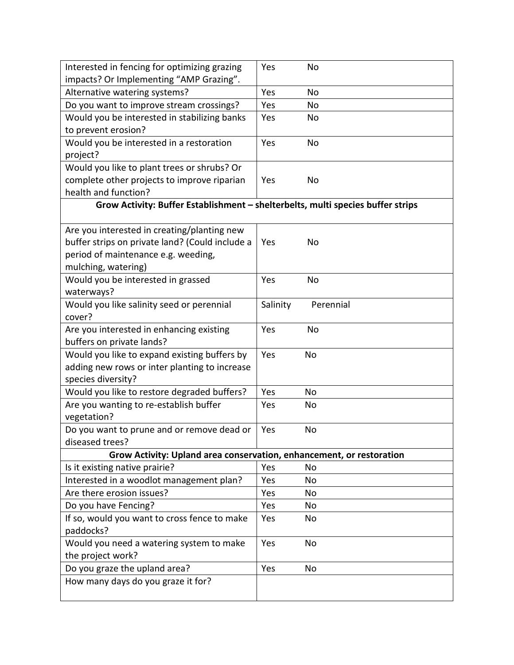| Interested in fencing for optimizing grazing                                    | Yes      | No        |  |  |
|---------------------------------------------------------------------------------|----------|-----------|--|--|
| impacts? Or Implementing "AMP Grazing".                                         | Yes      |           |  |  |
| Alternative watering systems?                                                   |          | No        |  |  |
| Do you want to improve stream crossings?                                        | Yes      | <b>No</b> |  |  |
| Would you be interested in stabilizing banks                                    | Yes      | No        |  |  |
| to prevent erosion?                                                             |          |           |  |  |
| Would you be interested in a restoration                                        | Yes      | No        |  |  |
| project?                                                                        |          |           |  |  |
| Would you like to plant trees or shrubs? Or                                     |          |           |  |  |
| complete other projects to improve riparian                                     | Yes      | No        |  |  |
| health and function?                                                            |          |           |  |  |
| Grow Activity: Buffer Establishment - shelterbelts, multi species buffer strips |          |           |  |  |
| Are you interested in creating/planting new                                     |          |           |  |  |
| buffer strips on private land? (Could include a                                 | Yes      | No        |  |  |
| period of maintenance e.g. weeding,                                             |          |           |  |  |
| mulching, watering)                                                             |          |           |  |  |
| Would you be interested in grassed                                              | Yes      | No        |  |  |
| waterways?                                                                      |          |           |  |  |
| Would you like salinity seed or perennial                                       | Salinity | Perennial |  |  |
| cover?                                                                          |          |           |  |  |
| Are you interested in enhancing existing                                        | Yes      | No        |  |  |
| buffers on private lands?                                                       |          |           |  |  |
| Would you like to expand existing buffers by                                    | Yes      | No        |  |  |
| adding new rows or inter planting to increase                                   |          |           |  |  |
| species diversity?                                                              |          |           |  |  |
| Would you like to restore degraded buffers?                                     | Yes      | No        |  |  |
| Are you wanting to re-establish buffer                                          | Yes      | No        |  |  |
| vegetation?                                                                     |          |           |  |  |
| Do you want to prune and or remove dead or                                      | Yes      | No        |  |  |
| diseased trees?                                                                 |          |           |  |  |
| Grow Activity: Upland area conservation, enhancement, or restoration            |          |           |  |  |
| Is it existing native prairie?                                                  | Yes      | No        |  |  |
| Interested in a woodlot management plan?                                        | Yes      | No        |  |  |
| Are there erosion issues?                                                       | Yes      | No        |  |  |
| Do you have Fencing?                                                            | Yes      | No        |  |  |
| If so, would you want to cross fence to make                                    | Yes      | No        |  |  |
| paddocks?                                                                       |          |           |  |  |
| Would you need a watering system to make                                        | Yes      | No        |  |  |
| the project work?                                                               |          |           |  |  |
| Do you graze the upland area?                                                   | Yes      | No        |  |  |
| How many days do you graze it for?                                              |          |           |  |  |
|                                                                                 |          |           |  |  |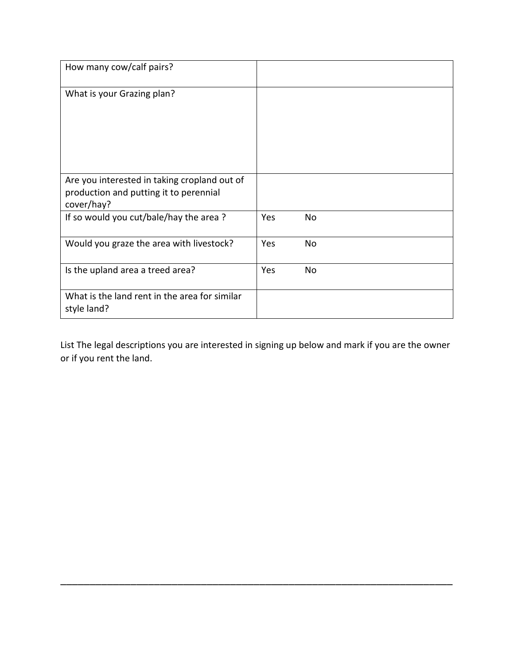| How many cow/calf pairs?                                                                             |     |    |
|------------------------------------------------------------------------------------------------------|-----|----|
| What is your Grazing plan?                                                                           |     |    |
| Are you interested in taking cropland out of<br>production and putting it to perennial<br>cover/hay? |     |    |
| If so would you cut/bale/hay the area?                                                               | Yes | No |
| Would you graze the area with livestock?                                                             | Yes | No |
| Is the upland area a treed area?                                                                     | Yes | No |
| What is the land rent in the area for similar<br>style land?                                         |     |    |

List The legal descriptions you are interested in signing up below and mark if you are the owner or if you rent the land.

\_\_\_\_\_\_\_\_\_\_\_\_\_\_\_\_\_\_\_\_\_\_\_\_\_\_\_\_\_\_\_\_\_\_\_\_\_\_\_\_\_\_\_\_\_\_\_\_\_\_\_\_\_\_\_\_\_\_\_\_\_\_\_\_\_\_\_